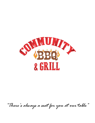

*"There's always a seat for you at our table"*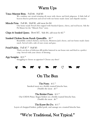### Warm Ups

#### Texas Meateor Bites. Full \$8, Half \$5

We combine our award-winning rib meat with cheese and fresh jalapenos. A little ball of heaven fried to perfection and served with our home-made classic and chipotle ranches.

#### **Mirade Fries.** Full \$8, Half \$5, add meat for \$4

Our home-made French fries topped with Smoked Queso, chives, and real bacon. Ask the Pit Master for the "Miracle Fries" story.

Chips & Smoked Queso. Bowl \$7, Side \$4, add meat for \$2.<sup>50</sup>

### Smoked Chicken Bacon Ranch Quesadilla.  $$9.50$

Beautifully cooked chicken, real bacon, Monterey Jack cheese, and our home-made classic ranch. Served with a side of sour cream and guac.

### Fried Pickles. Full \$7.50 Half \$5

Thick-cut slices of delicious dill pickles battered in our house mix and fried to a perfect crisp. Served with your choice of dressing.

#### App Sampler. \$12.99

Struggling to choose an appetizer? Choose any three!



### On The Bun

### The Pinto. \$12.75

Smoked meat on a freshly toasted brioche bun. Double the meat. \$3.<sup>50</sup>

### The Brisket Pinto. \$13.50

Our USDA Prime Angus brisket on a freshly toasted brioche bun. Double the meat. \$6.<sup>50</sup>

### The Know-Be-Do. \$13.99

Layers of chopped brisket, pulled pork, and sausage on a toasted brioche bun.

### "We're Traditional, Not Typical."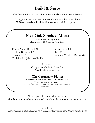# Build & Serve

The Community mission is simple: Build Relationships. Serve People.

Through our Feed the Need Project, Community has donated over 30,000 free meals to local families, veterans, and first responders.

## Post Oak Smoked Meats

Sold by the half pound All meats and our BBQ sauce are gluten friendly

Prime Angus Brisket \$15 Pulled Pork \$11 Turkey Breast \$11.<sup>50</sup> Sausage \$11.<sup>50</sup> Traditional or Jalapeno Cheddar

Ham \$11 Boneless Chicken Breast \$11

Ribs \$12.<sup>50</sup> Competition-Style St. Louis Cut Sold by the quarter rack.

### The Community Platter

A sampling of our meats, sides, and desserts! \$69.<sup>99</sup> Feeds approximately 4 people. Add \$16.<sup>99</sup> per person for additional meat, two sides, and dessert No substitutions.

When you choose to dine with us, the food you purchase puts food on tables throughout the community.

Proverbs 22:9

"The generous will themselves be blessed, for they share their food with the poor."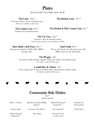### **Plates**

Served with Two Sides and a Roll

The Local.  $$18.50$  The Brisket Local.  $$19.95$ 

A hearty choice of one smoked meat. Ribs not available on this item.

#### The County Line. \$19.<sup>50</sup>

The Brisket & Ribs County Line. \$21.99

Choose two smoked meats.

### The Tri-City. \$22.99

Choose a trio of smoked meats. Limit of one portion each of brisket and ribs.

### Miss Milly's Rib Plate. \$24.<sup>55</sup>

Half Order. \$20.<sup>50</sup>

A generous portion of little Miss Milly's favorite ribs.

If you can't keep up with nine-year-old Milly, then try the half order.

### The Wagon. \$14

A massive Idaho potato topped with your choice of smoked meat. No sides or roll with this item.

#### Loaded Mac & Cheese. \$14

Our creamy mac & cheese loaded with your favorite smoked meat. No sides or roll with this item.

### Community Side Dishes

\$3.<sup>50</sup>

\*gluten friendly

Mac n' Cheese Mamma's Smoked BBQ

Beans\*

Mashed Potatoes\* loaded  $$1.^{50}$ 

Natural Cut French Fries

Potato Salad Creamy Cole Slaw Green Beans Fried Okra

Baked Potato\* loaded \$1.<sup>50</sup>

Side Salad Seasoned Corn on the Cob\*